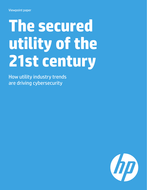# **The secured utility of the 21st century**

How utility industry trends are driving cybersecurity

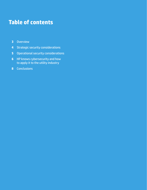# **Table of contents**

- Overview
- Strategic security considerations
- Operational security considerations
- HP knows cybersecurity and how to apply it to the utility industry
- Conclusions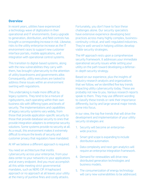### **Overview**

In recent years, utilities have experienced a technology wave of digitization in their operational and IT environments. Every upgrade to generation, distribution, and field controls has brought a corresponding increase in risk. Likewise, risks to the utility enterprise increase as the IT environment races to support new customer interface portals, mobile applications, and integration with operational control systems.

This transition to digital-based systems, along with the new vulnerabilities they carry with them, has brought cybersecurity to the attention of utility boardrooms and governments alike. Consequently, utility executives are tasked to address these issues within an environment swirling with regulations.

This undertaking is made more difficult by legacy systems. They tend to be a mixture of rigidsystems, each operating within their own business silo with differing types and levels of security. The implementations and capabilities of legacy security systems vary widely, from those that provide application-specific security to those that provide database security to ones that provide integration adapters to enterprise security solutions. Some systems provide no security at all. As a result, this environment makes it extremely difficult to ensure the levels of security and customer privacy that regulators have mandated.

At HP we believe a different approach is required.

You need an architecture that instills cybersecurity across your enterprise, from your data center to your networks to your applications and at every endpoint. And you must accomplish all this while meeting strict governmental mandates, such as NERC-CIP. A haphazard approach or no approach at all leaves your utility at the mercy of punitive fines and costly attacks.

Fortunately, you don't have to face these challenges alone. Our security specialists have extensive experience developing best practices across many highly complex, businesscontinuity-critical, and well-regulated industries. They're well versed in helping utilities develop viable security strategies.

The HP approach rests upon a comprehensive security framework. It addresses your immediate operational security issues while setting your utility on the path toward developing a defensein-depth security strategy.

Based on our experience, plus the insights of industry research analysts and organizations that we follow, we've identified five key trends impacting utility cybersecurity today. These are probably not new to you. Various research reports speak to them. They may use different wording to classify these trends or rank their importance differently, but by and large several major trends come into focus.

In our view, the top five trends that will drive the development and implementation of your utility security strategies are:

- 1. Security will become an enterprisewide practice.
- 2. Smart grid scope is expanding to include distribution automation.
- 3. Data complexity and next-gen analytics will require an enterprise integration framework.
- 4. Demand for renewables will drive new distributed generation technologies and business models.
- 5. The consumerization of energy technology will carry new vulnerabilities to be addressed.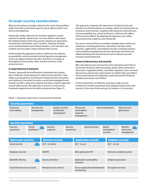# **Strategic security considerations**

What are the primary strategic cybersecurity issues facing utilities today? And what are the best ways for you to address them? Let's start at the beginning.

Historically, utility cybersecurity has been applied as a point solution to specific, siloed areas. For most utilities, that meant the implementation of discrete security solutions for generation, transmission, distribution, and IT systems. Typically, firewalls were created between each of these domains, each with their own resident security expert ready to declare them secure.

Unfortunately this approach results in veiled security, dubious accountability, and inconsistent monitoring policy management. Cracks can appear between the silos. And there is virtually no leveraging of security data, skills, and best practices at the enterprise level.

#### **A comprehensive framework**

Threats, along with the proliferation of potential entry points,<sup>1</sup> have rendered a siloed approach to cybersecurity obsolete. Thus utility security based on a patchwork of departmental or business unit solutions is too weak to counter current and emerging threats. Instead, we offer a long-term solution that takes a holistic approach toward cybersecurity. We subscribe to an end-to-end security framework applied across the utility enterprise (see Figure 1).

This approach recognizes the importance of cybersecurity and elevates it to the boardroom. In so doing, utility security becomes an enterprise-level function, complete with enterprise-level direction and accountability (e.g., board of directors, chief security officer, chief executive officer). By adopting this approach, your utility security becomes organic to your enterprise.

Our end-to-end architecture considers multiple layers within your enterprise, including governance, operations, the data center, networks, applications, and endpoint security. Existing processes such as identity management and virus detection will need to be addressed along with new processes such as data privacy and intrusion countermeasures.

#### **Issues in data privacy and security**

Why raise data privacy and security to the enterprise level? Due to the actions of privacy advocacy groups, public utility commission interveners, legislative bodies, and utility regulators, there are more data privacy and security requirements on utilities than ever before. These requirements and regulations come with punitive financial penalties executives can ill afford.

In this environment, an effective, enterprise-wide security architecture considers processes that safeguard data privacy and security. In the case of data privacy, for instance, it's necessary

#### Assurance and auditing **Security** operations Security risk management **Threat** intelligence System security certification management **Security** response Threat and vulnerability response management **Security** monitoring Secure boardroom Data protection Client security governance Digital investigation services Identity and access management **Security governance Data center security Application security betwork security Application security** Email security **DLP** - in motion DLP - in motion DLP - in use DLP - in use DLP - at rest Database security **IDS/IPS** IDS/IPS Web application FW Enterprise mobile security Web/URL filtering Secure perimeter Application vulnerability scanning Endpoint protection Cloud infrastructure security Network access control Secure application development and delivery Encryption services **Endpoint security Security operations**

Figure 1: Enterprise-wide end-to-end security framework

<sup>1</sup> See the discussion of digital devices in the operational security section.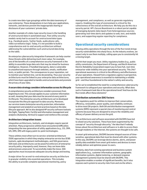to create new data-type groupings within the data taxonomy of your enterprise. These designations in turn help your applications, networks, and devices prevent the inappropriate sharing or disclosure of your customers' private data.

Another example of a data-type security issue is the handling of unstructured data in automated ways. Past utility security models rarely had to account for unstructured data types (e.g., Facebook posts, Twitter feeds, audio phone calls, video surveillance logs). Today, it's not possible to build a conprehensive end-to-end security architecture without addressing the vulnerabilities such unstructured data bring to the table.

An enterprise cybersecurity integration framework can help counter these threats while delivering much more value. For example, one of the benefits of a comprehensive security framework is the ability to assemble large data sets that may be mined for business intelligence. However, if handled improperly, data is vulnerable to unauthorized exposure through websites, emails, notification texts, or public portals. The consequences to your reputation, not to mention your bottom line, can be devastating. Thus your security architectures must be linked to your enterprise data architectures, which have been upgraded to handle unstructured data and promote the privacy of your data.

#### **A secure data strategy considers information across its lifecycle**

A comprehensive security architecture considers processes from beginning to end. This concept applies to your customer information as well, meaning that your data must be secured at every point in its lifecycle. The enterprise security architectures we've developed incorporate this lifecycle approach to data security. Moreover, our services teams (enterprise security protection, information management and analytics) use best practices based on the data lifecycle approach. We've also designed HP security software toolsets (ArcSight, Tipping Point, Fortify) and information management and analytics (Autonomy, Vertica) to support and reinforce this concept.

#### **Architecture integration issues**

Integration architectures, toolsets, and strategies require special attention. Many progressive utilities have encountered difficulties integrating the new generation of utility applications (e.g., CIS, CRM, GIS, DMS, OM) with legacy point-to-point technologies.

These utilities most often turn to service-oriented architecture (SOA) approaches in which they employ enterprise service bus (ESB) toolsets, agile development methodologies, and SOA governance. SOA tools and architectures can be powerful enforcers of enterprise security policy. Improperly used, however, they can leave data and processes unsecured. To successfully make the move, SOA approaches must incorporate adequate security design and testing.

A major driver for an end-to-end enterprise security architecture is granular visibility into essential operations. This includes the ability to provide complete operational monitoring, policy

management, and compliance, as well as generate regulatory reports. Enabling this type of environment is critical for the cohesiveness of the overall architecture. We help you do this via a security portal. HP's Secure Boardroom is a robust portal capable of managing dynamic data inputs from heterogeneous sources; generating real-time alerts and updates to web, text, and mobile users; and supporting regular reporting for compliance.

# **Operational security considerations**

Viewing utility operations through the lens of the five trends brings security vulnerabilities into sharp focus. As the industry evolves, we expect only to see them multiply, calling upon you to consistently hit a moving target.

And hit that target you must. Utility regulatory bodies (e.g., public utility commission, the Department of Energy, and North American Electric Reliability Corporation) expect you to have full, real-time enterprise-wide visibility into your operational security. This 24x7 operational awareness is critical to the efficiency and effectiveness of your operations. Viewed from a regulatory agency's perspective, your operational awareness is essential to maintaining a reliable grid – and thus foundational to the nation's safety and security.

So far we've established the need for a comprehensive cybersecurity framework to safeguard your operations and security. What does such a framework look like at the operational level? And how do the five trends affect these elements?

#### **Distribution automation (DA) factors**

The regulatory push for utilities to improve their conservation, efficiency, renewables, power quality, and reliability continues to drive most DA projects. Both DA and distribution management systems (DMS) represent a special class of monitoring and control systems because they are designed to ensure the reliability and efficacy of power delivery across the grid.

The architectures and software associated with DA/DMS have led to siloed security solutions. These have been augmented by the concept of "security through obscurity," the idea that if nobody knows about the architecture and software or is able to access them through modems or the Internet, the systems are thought to be safe.

In smart grid enterprises, DA/DMS become integral sources of timesensitive, operational data that must be shared with other systems. In this way, DA/DMS can leverage device alarms, alerts, and power quality data available from smart grid meters and devices to more reliably deliver and optimize power to users.

Similarly, data from existing operational and business system applications (e.g., customer information systems, geographic information systems, digital metering, or demand response management systems) must be shared with DA/DMS. This integration enables a number of significant benefits, but it also exposes each system to security risks from and via the others.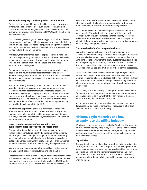#### **Renewable energy system integration considerations**

Further driving the need for operational integration is the growth of renewable generation sources such as wind, solar, and biomass. The concepts of distributed generation, virtual power plants, and microgrids all leverage the integration of DA/DMS with the utility to enable renewables.

This trend will gain strength in the coming years, as a host of social, environmental, and financial factors prevent new power plants from coming on line. Faced with rising energy costs along with the glaring inability of new plants to be built, individuals and businesses have started to field their own solutions.

Principally, their answer has been to deploy renewable wind and solar power-generating systems. As a result, utilities must be able to manage and control power flowing from distributed generation systems into the grid. That's no small feat, and it requires automation and intelligence.

For instance, customers' distributed-generation-control systems need to tie into your utility control system for you to access, monitor, manage, and integrate their power into your grid. However, doing so is a risky proposition because it provides a possible entry point for malware.

In addition to being a security threat, customer control systems have the potential to overwhelm your computer and network resources. Your control systems must have stable, predictable processing characteristics to properly function. Should a customer's control system malfunction, it could over-consume your network bandwidth, processing capacity, and/or available data volumes – leading to the denial of service to other customers' systems vying for the attention of your utility DA/DMS.

Your utility must protect against this malfunction-based denial of service as well as a malicious one. For example, a disgruntled customer may hold your utility liable for any equipment damage that they deem to be the result of a cyberattack that came through your utility infrastructure.

#### **Large, complex volumes of data require robust business intelligence solutions to process them**

The portfolio of new digital technologies coming to utilities continues to expand, bringing with it qualitative enhancements. For example, new technologies can upload data more frequently and at a much more granular level than utilities have experienced historically. Consequently, many utility companies are unprepared to handle the massive influx of data flooding their systems today.

As the number of smart meter and smart grid device deployments grow, so too will the security inputs flowing into the utility.

Take smart meters as an example. They're designed to transmit alerts in the event of tampering. An installed base of 500,000 smart meters experiencing even a one percent alert rate would yield 5,000 alerts. You could roll service trucks to check all 5,000 meters. However, we

believe that a more effective solution is to correlate the alerts with information available elsewhere in your enterprise, be they work orders, meter history records, or firmware change records.

Smart meter alerts are but one example of many that your utility must consider. The prioritization of incoming data, along with its correlation with relevant sources to enhance security processes, will be a necessary enterprise-wide function. In this way you can minimize false alarms, prioritize real safety and security alarms, and better manage your grid resources.

#### **Consumerization's effect on your business**

Lastly, the consumerization of IT and the development of an "always-on" customer-utility relationship have dragged utilities into security and privacy areas they've previously not had to deal with. Long gone are the days where the utility-customer relationship was nurtured primarily with a monthly newsletter and an occasional call. Now, to be competitive, your company must incorporate new web, text, email, mobile-app, and anytime-anywhere service capabilities.

These tactics help you build closer relationships with your clients, engage them in your conservation and demand-management programs, and market new products and offerings to them. For their part, consumers want to take advantage of cost-saving and valueadded programs and be better informed about service outages or other issues.

These changes present security challenges that must be overcome. For instance, your systems must authenticate and authorize users across your enterprise in a way that they can view only their data and execute only their authorized functions.

Add to that the need to comprehensively secure your customers' data across a wide range of consumer devices, via a multitude of channels, with 24x7 service availability.

# **HP knows cybersecurity and how to apply it to the utility industry**

HP offers a complete security portfolio that's delivered by more than 3,000 dedicated security and privacy professionals. We have more than 40 years of experience delivering managed security services and have provided IT security consulting to leading businesses for more than two decades.

#### **Capabilities**

Our security offerings are based on the end-to-end enterprise-wide security framework illustrated in Figure 1. We offer comprehensive governance services to support your enterprise-wide cybersecurity objectives. Our end-to-end framework is comprehensive – not simply layered-on applications nor stuck-in firewalls. Moreover, our approach is designed to help your utility proactively adapt to evolving threats.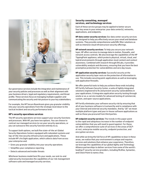

Our governance services include the integration and maintenance of your security policies and processes as well as their alignment with your business drivers, legal and regulatory requirements, and threat profile. These services focus on managing multiple suppliers and communicating the security and risk posture to your key stakeholders.

For example, the HP Secure Boardroom gives you granular visibility into your security operations from the strategic level down to the tactical incident and security performance level.

#### **HP's security operations services**

The HP security operations services support your security functions and processes. With HP, you have two options. You can choose to contract our managed services to run your security operations, or you can outsource this security function entirely to us.

To support both options, we built five state-of-the art Global Security Operations Centers equipped with redundant systems and top-of-the-line security infrastructure and applications. These include HP's ArcSight application, which collects data from across your enterprise and:

- Gives you granular visibility into your security operations
- Simplifies your compliance reporting
- Detects advanced and insider threats

Whichever business model best fits your needs, our end-to-end cybersecurity incorporates the capabilities of our risk management software suite and managed security services.

#### **Security consulting, managed services, and technology services**

Each of these service groups may be applied to better secure four key areas in your enterprise: your data center(s), networks, applications, and endpoints.

**HP data center security services:** Our data center security services are designed to help you effectively secure your email and database systems. They provide comprehensive web/URL filter solutions as well as intensive cloud infrastructure security offerings.

**HP network security services:** To help you secure your network layer, HP offers services to manage data in motion, firewalls, and network access controls. We also leverage the capabilities of the HP TippingPoint appliance, which protects physical, virtual, cloud, and hybrid environments through application-level content and context awareness. Combined with research through DVLabs, it provides vulnerability analysis and discovery, ensuring that you have the best preemptive protection for vulnerabilities and zero day issues.

**HP application security services:** Successful security at the application security layer rests on the protection of information in use. This includes securing point-applications as well as leveraging web application firewalls.

We offer powerful tools to help you achieve these ends including HP Fortify Software Security Center, a suite of tightly integrated solutions engineered to fix and prevent security vulnerabilities in your applications. It integrates application security testing through onsite or as-a-service models for advanced testing of commercial, custom, and open-source applications.

HP Fortify eliminates your software security risk by ensuring that all of your business software is trustworthy and in compliance with your internal and external security mandates. And by "all" we mean multiple platform types and your in-house software applications as well as those you procured from third parties.

**HP endpoint security services:** The trends in this paper point to the rapid and ubiquitous increase in the number of endpoint vulnerabilities that you will need to guard against. For these, we offer a comprehensive suite of services in the areas of DLPat rest, enterprise mobile security, endpoint protection, and encryption services.

And while we bring the full force of HP capabilities to bear in these areas, we realize that your environment is unique and requires services and solutions that enhance your experience. Therefore, we leverage the capabilities of our global Agility and Technology Alliance partnerships to deliver services from some of the world's leading IT security service providers, including McAfee, Symantec, and Check Point to name a few.